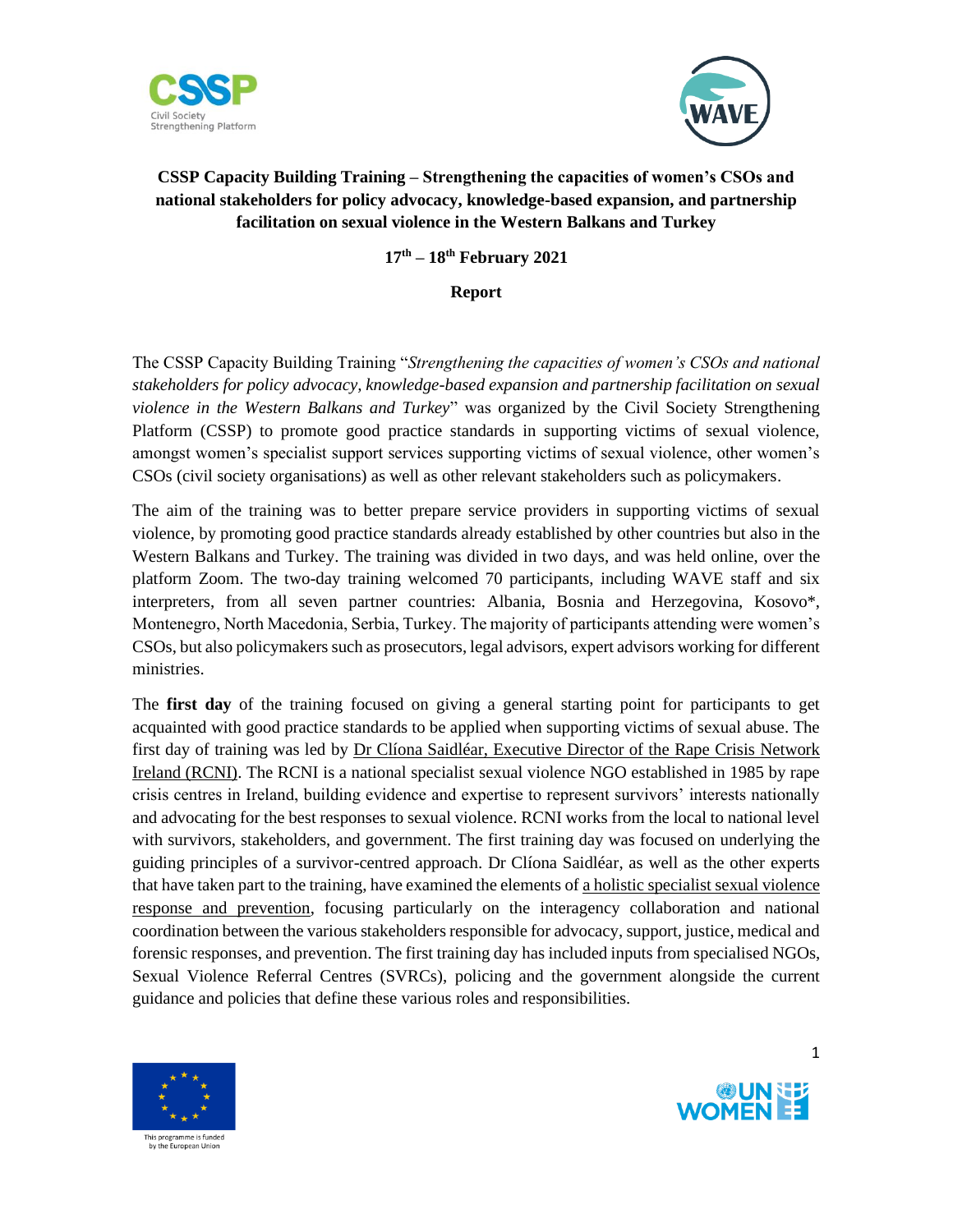



## **CSSP Capacity Building Training – Strengthening the capacities of women's CSOs and national stakeholders for policy advocacy, knowledge-based expansion, and partnership facilitation on sexual violence in the Western Balkans and Turkey**

**17th – 18th February 2021**

#### **Report**

The CSSP Capacity Building Training "*Strengthening the capacities of women's CSOs and national stakeholders for policy advocacy, knowledge-based expansion and partnership facilitation on sexual violence in the Western Balkans and Turkey*" was organized by the Civil Society Strengthening Platform (CSSP) to promote good practice standards in supporting victims of sexual violence, amongst women's specialist support services supporting victims of sexual violence, other women's CSOs (civil society organisations) as well as other relevant stakeholders such as policymakers.

The aim of the training was to better prepare service providers in supporting victims of sexual violence, by promoting good practice standards already established by other countries but also in the Western Balkans and Turkey. The training was divided in two days, and was held online, over the platform Zoom. The two-day training welcomed 70 participants, including WAVE staff and six interpreters, from all seven partner countries: Albania, Bosnia and Herzegovina, Kosovo\*, Montenegro, North Macedonia, Serbia, Turkey. The majority of participants attending were women's CSOs, but also policymakers such as prosecutors, legal advisors, expert advisors working for different ministries.

The **first day** of the training focused on giving a general starting point for participants to get acquainted with good practice standards to be applied when supporting victims of sexual abuse. The first day of training was led by Dr Clíona Saidléar, Executive Director of the Rape Crisis Network Ireland (RCNI). The RCNI is a national specialist sexual violence NGO established in 1985 by rape crisis centres in Ireland, building evidence and expertise to represent survivors' interests nationally and advocating for the best responses to sexual violence. RCNI works from the local to national level with survivors, stakeholders, and government. The first training day was focused on underlying the guiding principles of a survivor-centred approach. Dr Clíona Saidléar, as well as the other experts that have taken part to the training, have examined the elements of a holistic specialist sexual violence response and prevention, focusing particularly on the interagency collaboration and national coordination between the various stakeholders responsible for advocacy, support, justice, medical and forensic responses, and prevention. The first training day has included inputs from specialised NGOs, Sexual Violence Referral Centres (SVRCs), policing and the government alongside the current guidance and policies that define these various roles and responsibilities.



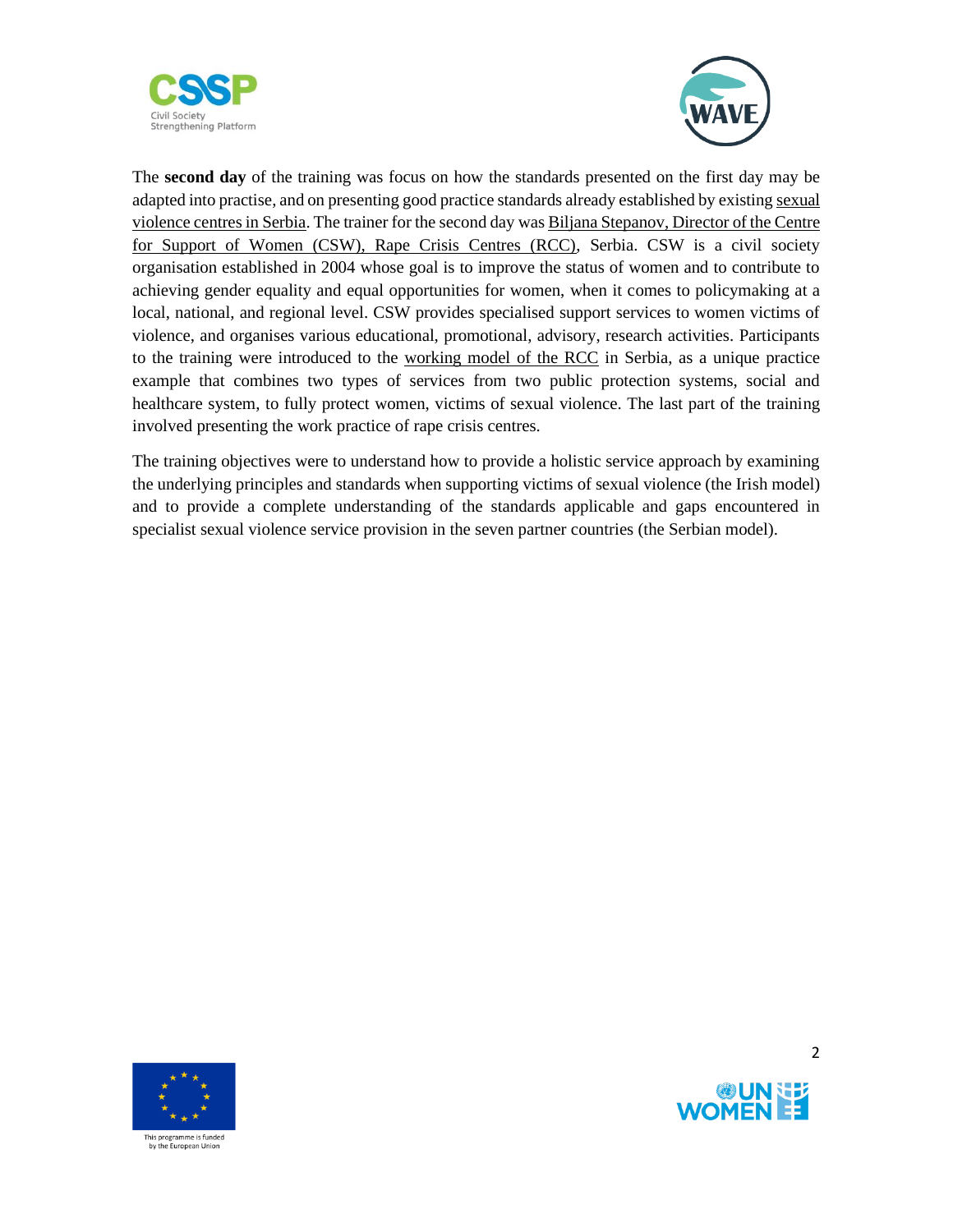



The **second day** of the training was focus on how the standards presented on the first day may be adapted into practise, and on presenting good practice standards already established by existing sexual violence centres in Serbia. The trainer for the second day was Biljana Stepanov, Director of the Centre for Support of Women (CSW), Rape Crisis Centres (RCC), Serbia. CSW is a civil society organisation established in 2004 whose goal is to improve the status of women and to contribute to achieving gender equality and equal opportunities for women, when it comes to policymaking at a local, national, and regional level. CSW provides specialised support services to women victims of violence, and organises various educational, promotional, advisory, research activities. Participants to the training were introduced to the working model of the RCC in Serbia, as a unique practice example that combines two types of services from two public protection systems, social and healthcare system, to fully protect women, victims of sexual violence. The last part of the training involved presenting the work practice of rape crisis centres.

The training objectives were to understand how to provide a holistic service approach by examining the underlying principles and standards when supporting victims of sexual violence (the Irish model) and to provide a complete understanding of the standards applicable and gaps encountered in specialist sexual violence service provision in the seven partner countries (the Serbian model).





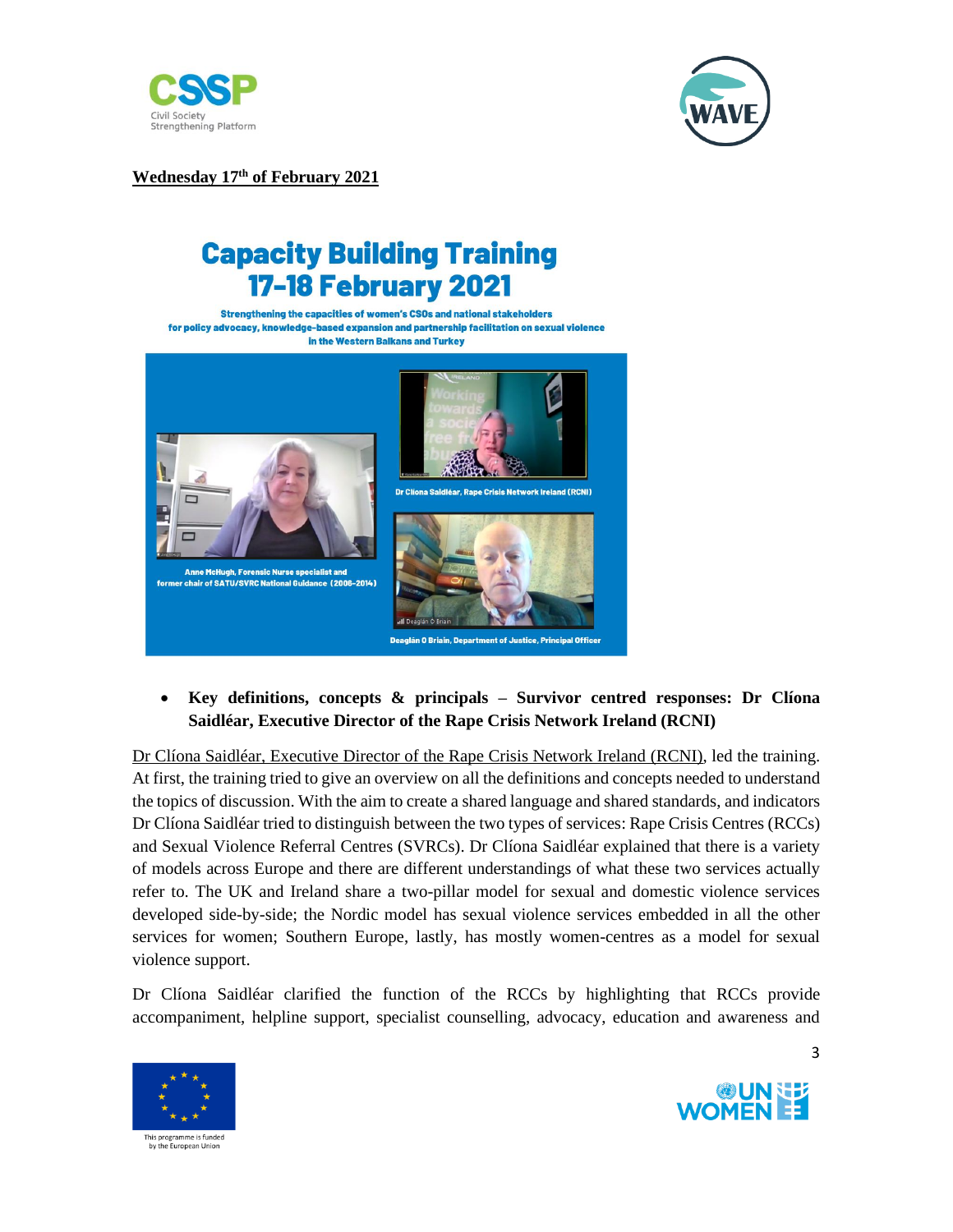



**Wednesday 17th of February 2021**

# **Capacity Building Training 17-18 February 2021**

Strengthening the capacities of women's CSOs and national stakeholders for policy advocacy, knowledge-based expansion and partnership facilitation on sexual violence in the Western Balkans and Turkey



## • **Key definitions, concepts & principals – Survivor centred responses: Dr Clíona Saidléar, Executive Director of the Rape Crisis Network Ireland (RCNI)**

Dr Clíona Saidléar, Executive Director of the Rape Crisis Network Ireland (RCNI), led the training. At first, the training tried to give an overview on all the definitions and concepts needed to understand the topics of discussion. With the aim to create a shared language and shared standards, and indicators Dr Clíona Saidléar tried to distinguish between the two types of services: Rape Crisis Centres (RCCs) and Sexual Violence Referral Centres (SVRCs). Dr Clíona Saidléar explained that there is a variety of models across Europe and there are different understandings of what these two services actually refer to. The UK and Ireland share a two-pillar model for sexual and domestic violence services developed side-by-side; the Nordic model has sexual violence services embedded in all the other services for women; Southern Europe, lastly, has mostly women-centres as a model for sexual violence support.

Dr Clíona Saidléar clarified the function of the RCCs by highlighting that RCCs provide accompaniment, helpline support, specialist counselling, advocacy, education and awareness and



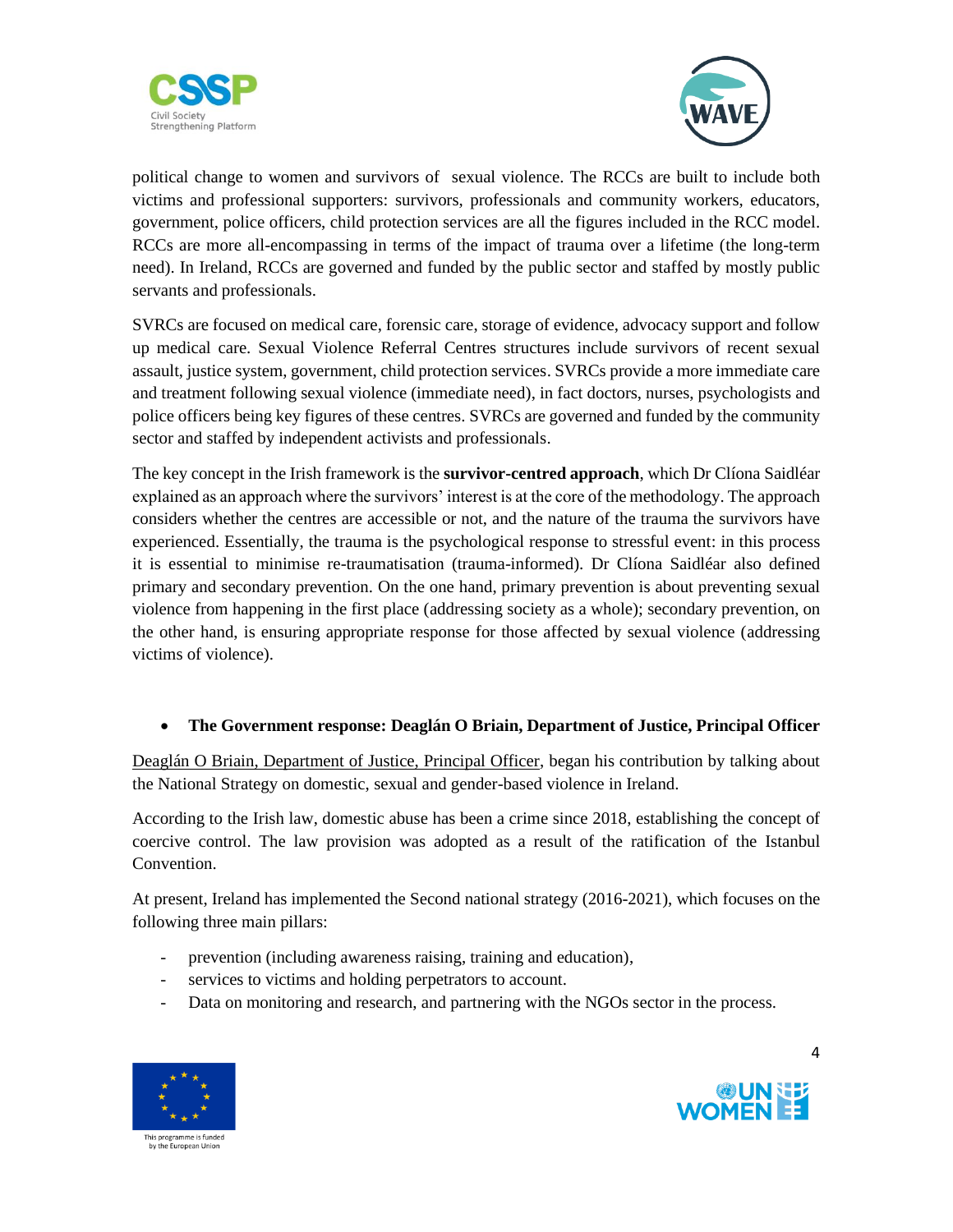



political change to women and survivors of sexual violence. The RCCs are built to include both victims and professional supporters: survivors, professionals and community workers, educators, government, police officers, child protection services are all the figures included in the RCC model. RCCs are more all-encompassing in terms of the impact of trauma over a lifetime (the long-term need). In Ireland, RCCs are governed and funded by the public sector and staffed by mostly public servants and professionals.

SVRCs are focused on medical care, forensic care, storage of evidence, advocacy support and follow up medical care. Sexual Violence Referral Centres structures include survivors of recent sexual assault, justice system, government, child protection services. SVRCs provide a more immediate care and treatment following sexual violence (immediate need), in fact doctors, nurses, psychologists and police officers being key figures of these centres. SVRCs are governed and funded by the community sector and staffed by independent activists and professionals.

The key concept in the Irish framework is the **survivor-centred approach**, which Dr Clíona Saidléar explained as an approach where the survivors' interest is at the core of the methodology. The approach considers whether the centres are accessible or not, and the nature of the trauma the survivors have experienced. Essentially, the trauma is the psychological response to stressful event: in this process it is essential to minimise re-traumatisation (trauma-informed). Dr Clíona Saidléar also defined primary and secondary prevention. On the one hand, primary prevention is about preventing sexual violence from happening in the first place (addressing society as a whole); secondary prevention, on the other hand, is ensuring appropriate response for those affected by sexual violence (addressing victims of violence).

### • **The Government response: Deaglán O Briain, Department of Justice, Principal Officer**

Deaglán O Briain, Department of Justice, Principal Officer, began his contribution by talking about the National Strategy on domestic, sexual and gender-based violence in Ireland.

According to the Irish law, domestic abuse has been a crime since 2018, establishing the concept of coercive control. The law provision was adopted as a result of the ratification of the Istanbul Convention.

At present, Ireland has implemented the Second national strategy (2016-2021), which focuses on the following three main pillars:

- prevention (including awareness raising, training and education),
- services to victims and holding perpetrators to account.
- Data on monitoring and research, and partnering with the NGOs sector in the process.



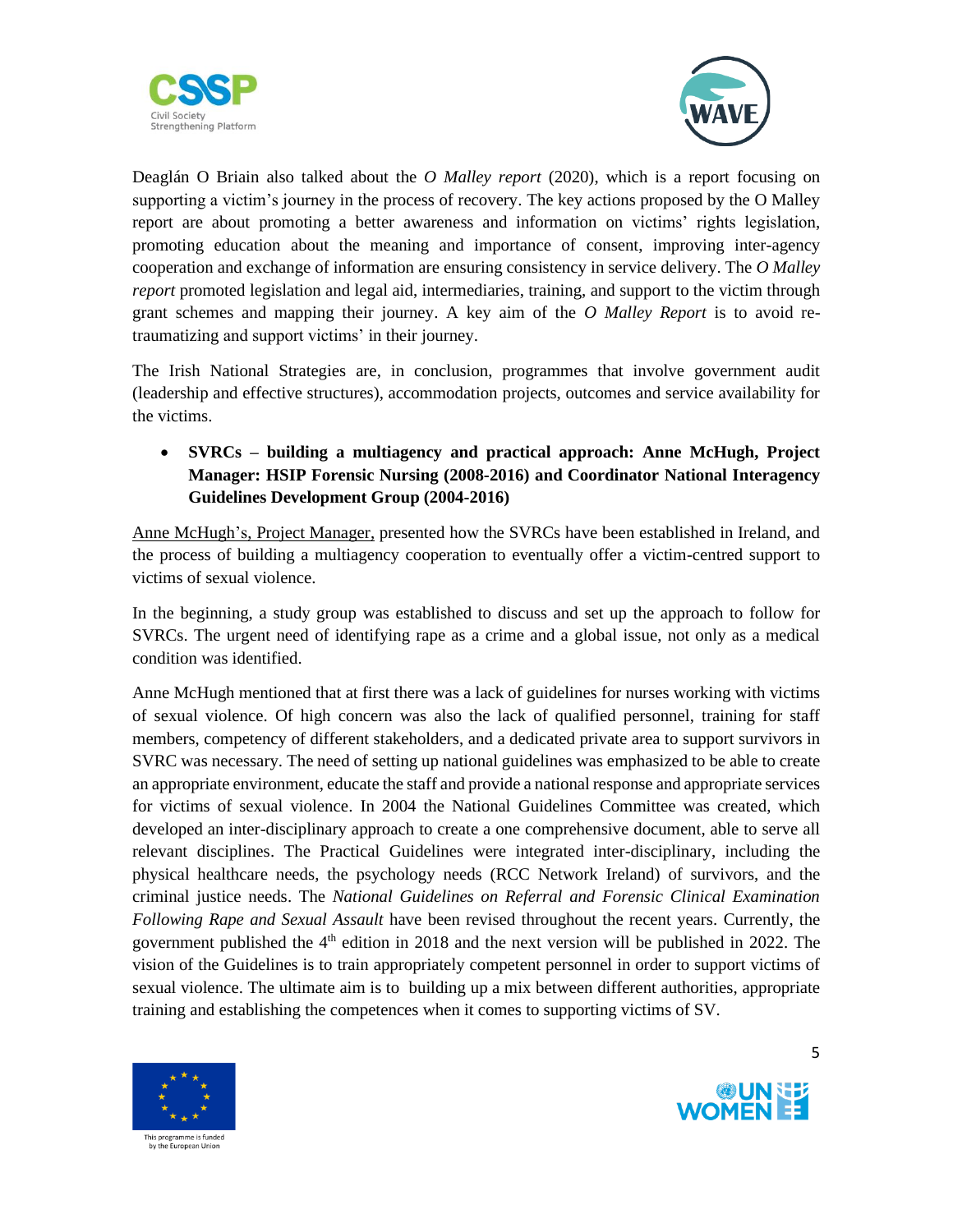



Deaglán O Briain also talked about the *O Malley report* (2020), which is a report focusing on supporting a victim's journey in the process of recovery. The key actions proposed by the O Malley report are about promoting a better awareness and information on victims' rights legislation, promoting education about the meaning and importance of consent, improving inter-agency cooperation and exchange of information are ensuring consistency in service delivery. The *O Malley report* promoted legislation and legal aid, intermediaries, training, and support to the victim through grant schemes and mapping their journey. A key aim of the *O Malley Report* is to avoid retraumatizing and support victims' in their journey.

The Irish National Strategies are, in conclusion, programmes that involve government audit (leadership and effective structures), accommodation projects, outcomes and service availability for the victims.

• **SVRCs – building a multiagency and practical approach: Anne McHugh, Project Manager: HSIP Forensic Nursing (2008-2016) and Coordinator National Interagency Guidelines Development Group (2004-2016)**

Anne McHugh's, Project Manager, presented how the SVRCs have been established in Ireland, and the process of building a multiagency cooperation to eventually offer a victim-centred support to victims of sexual violence.

In the beginning, a study group was established to discuss and set up the approach to follow for SVRCs. The urgent need of identifying rape as a crime and a global issue, not only as a medical condition was identified.

Anne McHugh mentioned that at first there was a lack of guidelines for nurses working with victims of sexual violence. Of high concern was also the lack of qualified personnel, training for staff members, competency of different stakeholders, and a dedicated private area to support survivors in SVRC was necessary. The need of setting up national guidelines was emphasized to be able to create an appropriate environment, educate the staff and provide a national response and appropriate services for victims of sexual violence. In 2004 the National Guidelines Committee was created, which developed an inter-disciplinary approach to create a one comprehensive document, able to serve all relevant disciplines. The Practical Guidelines were integrated inter-disciplinary, including the physical healthcare needs, the psychology needs (RCC Network Ireland) of survivors, and the criminal justice needs. The *National Guidelines on Referral and Forensic Clinical Examination Following Rape and Sexual Assault* have been revised throughout the recent years. Currently, the government published the  $4<sup>th</sup>$  edition in 2018 and the next version will be published in 2022. The vision of the Guidelines is to train appropriately competent personnel in order to support victims of sexual violence. The ultimate aim is to building up a mix between different authorities, appropriate training and establishing the competences when it comes to supporting victims of SV.



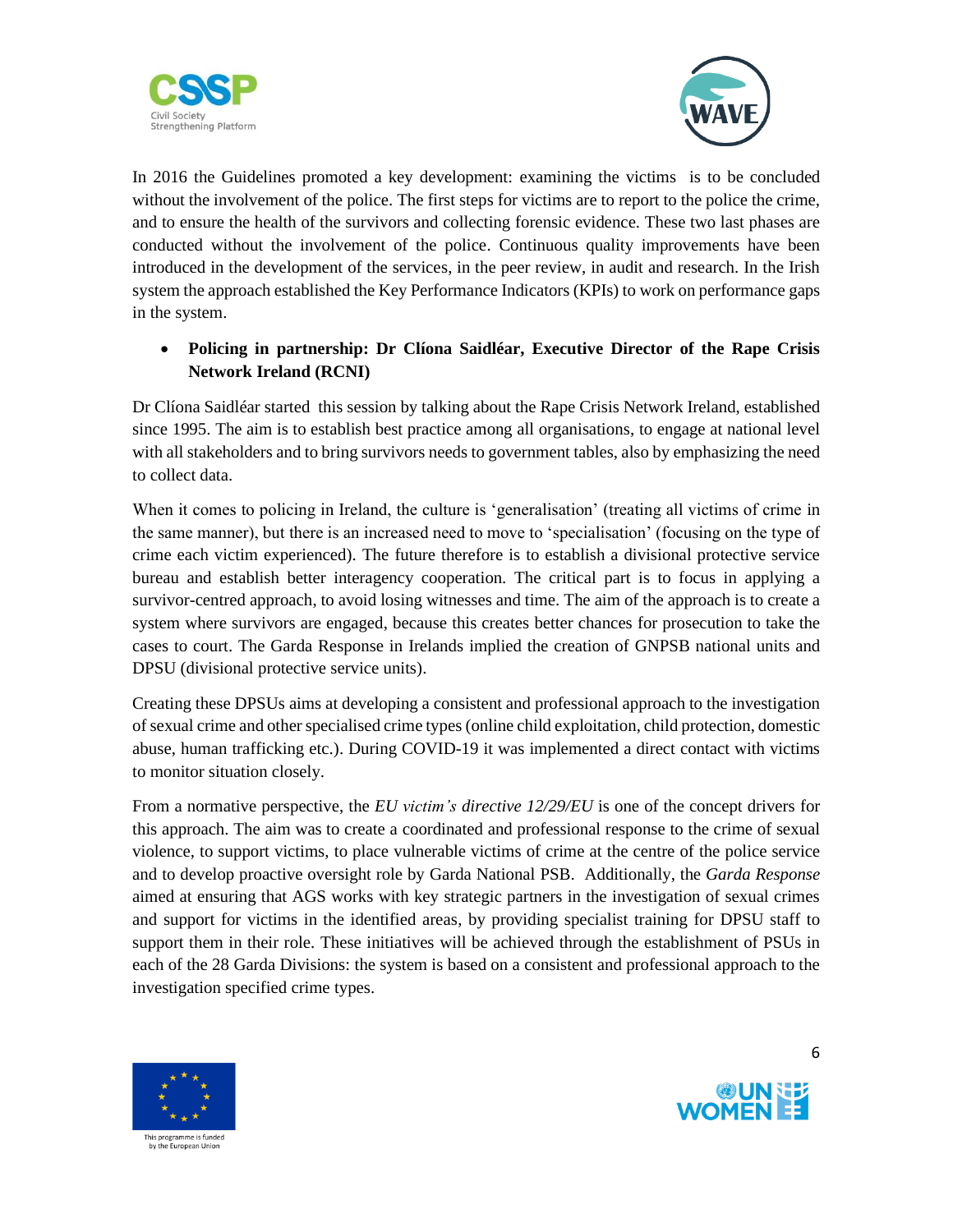



In 2016 the Guidelines promoted a key development: examining the victims is to be concluded without the involvement of the police. The first steps for victims are to report to the police the crime, and to ensure the health of the survivors and collecting forensic evidence. These two last phases are conducted without the involvement of the police. Continuous quality improvements have been introduced in the development of the services, in the peer review, in audit and research. In the Irish system the approach established the Key Performance Indicators (KPIs) to work on performance gaps in the system.

## • **Policing in partnership: Dr Clíona Saidléar, Executive Director of the Rape Crisis Network Ireland (RCNI)**

Dr Clíona Saidléar started this session by talking about the Rape Crisis Network Ireland, established since 1995. The aim is to establish best practice among all organisations, to engage at national level with all stakeholders and to bring survivors needs to government tables, also by emphasizing the need to collect data.

When it comes to policing in Ireland, the culture is 'generalisation' (treating all victims of crime in the same manner), but there is an increased need to move to 'specialisation' (focusing on the type of crime each victim experienced). The future therefore is to establish a divisional protective service bureau and establish better interagency cooperation. The critical part is to focus in applying a survivor-centred approach, to avoid losing witnesses and time. The aim of the approach is to create a system where survivors are engaged, because this creates better chances for prosecution to take the cases to court. The Garda Response in Irelands implied the creation of GNPSB national units and DPSU (divisional protective service units).

Creating these DPSUs aims at developing a consistent and professional approach to the investigation of sexual crime and other specialised crime types (online child exploitation, child protection, domestic abuse, human trafficking etc.). During COVID-19 it was implemented a direct contact with victims to monitor situation closely.

From a normative perspective, the *EU victim's directive 12/29/EU* is one of the concept drivers for this approach. The aim was to create a coordinated and professional response to the crime of sexual violence, to support victims, to place vulnerable victims of crime at the centre of the police service and to develop proactive oversight role by Garda National PSB. Additionally, the *Garda Response* aimed at ensuring that AGS works with key strategic partners in the investigation of sexual crimes and support for victims in the identified areas, by providing specialist training for DPSU staff to support them in their role. These initiatives will be achieved through the establishment of PSUs in each of the 28 Garda Divisions: the system is based on a consistent and professional approach to the investigation specified crime types.



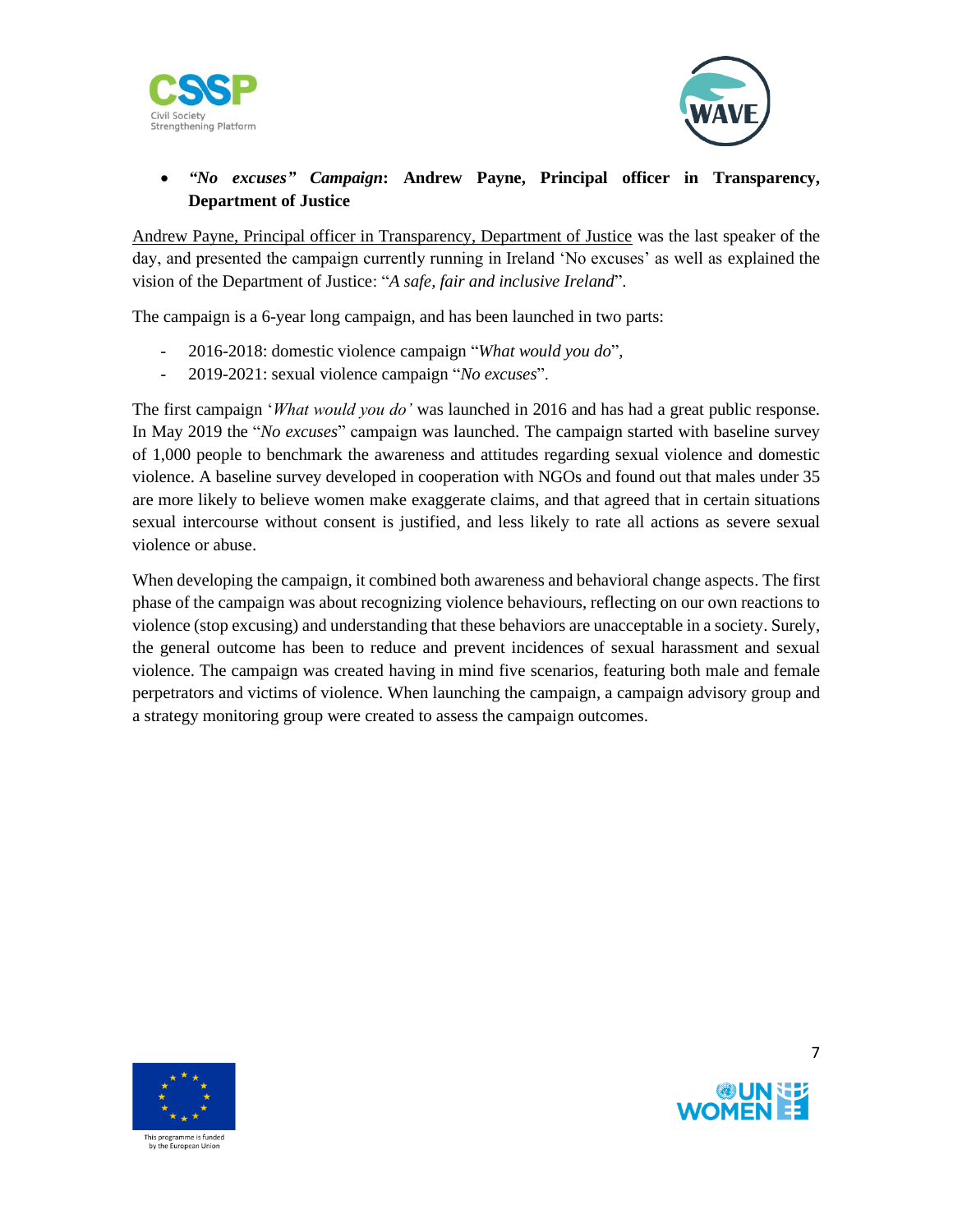



## • *"No excuses" Campaign***: Andrew Payne, Principal officer in Transparency, Department of Justice**

Andrew Payne, Principal officer in Transparency, Department of Justice was the last speaker of the day, and presented the campaign currently running in Ireland 'No excuses' as well as explained the vision of the Department of Justice: "*A safe, fair and inclusive Ireland*".

The campaign is a 6-year long campaign, and has been launched in two parts:

- 2016-2018: domestic violence campaign "*What would you do*",
- 2019-2021: sexual violence campaign "*No excuses*".

The first campaign '*What would you do'* was launched in 2016 and has had a great public response. In May 2019 the "*No excuses*" campaign was launched. The campaign started with baseline survey of 1,000 people to benchmark the awareness and attitudes regarding sexual violence and domestic violence. A baseline survey developed in cooperation with NGOs and found out that males under 35 are more likely to believe women make exaggerate claims, and that agreed that in certain situations sexual intercourse without consent is justified, and less likely to rate all actions as severe sexual violence or abuse.

When developing the campaign, it combined both awareness and behavioral change aspects. The first phase of the campaign was about recognizing violence behaviours, reflecting on our own reactions to violence (stop excusing) and understanding that these behaviors are unacceptable in a society. Surely, the general outcome has been to reduce and prevent incidences of sexual harassment and sexual violence. The campaign was created having in mind five scenarios, featuring both male and female perpetrators and victims of violence. When launching the campaign, a campaign advisory group and a strategy monitoring group were created to assess the campaign outcomes.



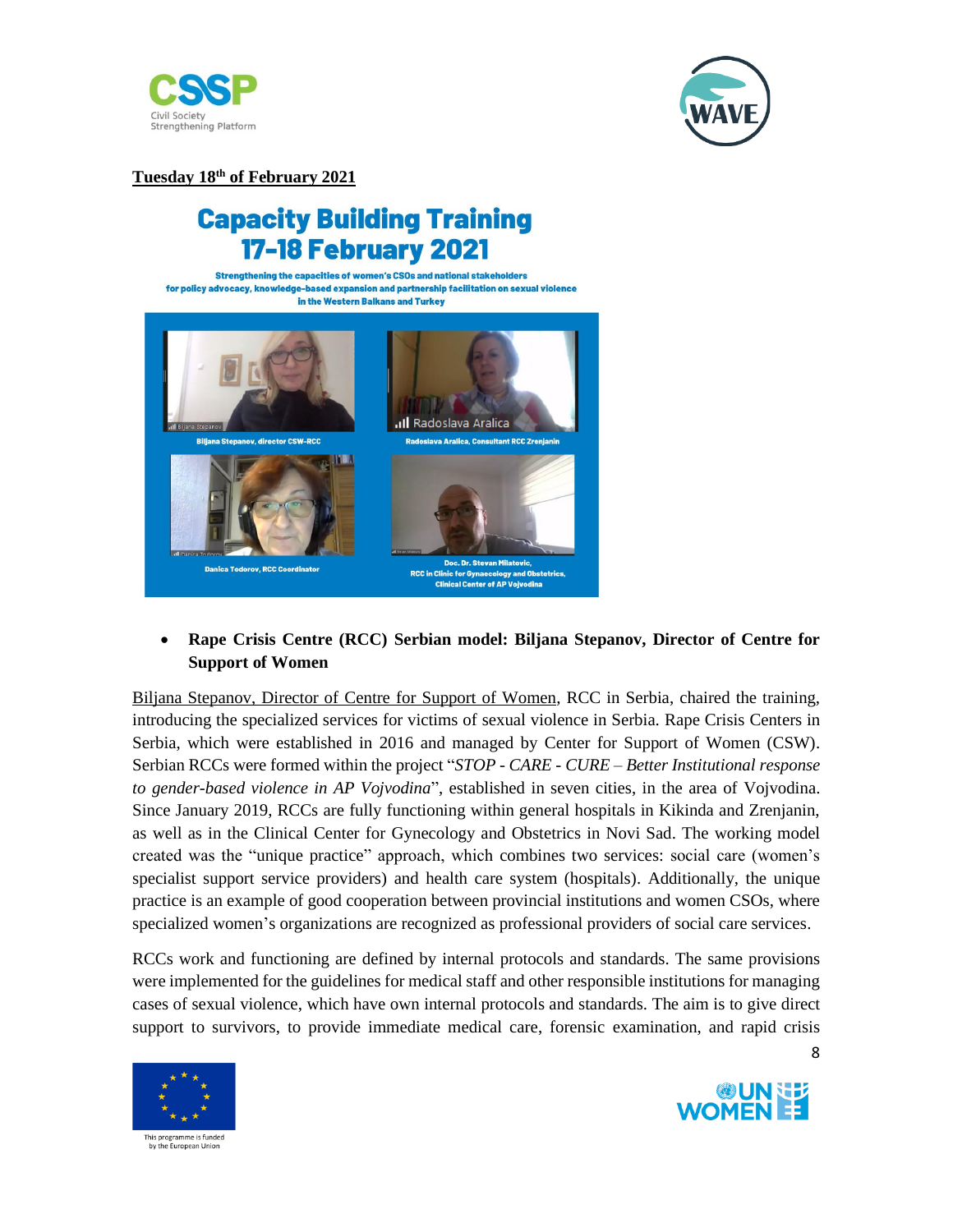



**Tuesday 18th of February 2021**

# **Capacity Building Training 17-18 February 2021**

Strengthening the capacities of women's CSOs and national stakeholders for policy advocacy, knowledge-based expansion and partnership facilitation on sexual violence in the Western Balkans and Turkey



### • **Rape Crisis Centre (RCC) Serbian model: Biljana Stepanov, Director of Centre for Support of Women**

Biljana Stepanov, Director of Centre for Support of Women, RCC in Serbia, chaired the training, introducing the specialized services for victims of sexual violence in Serbia. Rape Crisis Centers in Serbia, which were established in 2016 and managed by Center for Support of Women (CSW). Serbian RCCs were formed within the project "*STOP - CARE - CURE – Better Institutional response to gender-based violence in AP Vojvodina*", established in seven cities, in the area of Vojvodina. Since January 2019, RCCs are fully functioning within general hospitals in Kikinda and Zrenjanin, as well as in the Clinical Center for Gynecology and Obstetrics in Novi Sad. The working model created was the "unique practice" approach, which combines two services: social care (women's specialist support service providers) and health care system (hospitals). Additionally, the unique practice is an example of good cooperation between provincial institutions and women CSOs, where specialized women's organizations are recognized as professional providers of social care services.

RCCs work and functioning are defined by internal protocols and standards. The same provisions were implemented for the guidelines for medical staff and other responsible institutions for managing cases of sexual violence, which have own internal protocols and standards. The aim is to give direct support to survivors, to provide immediate medical care, forensic examination, and rapid crisis



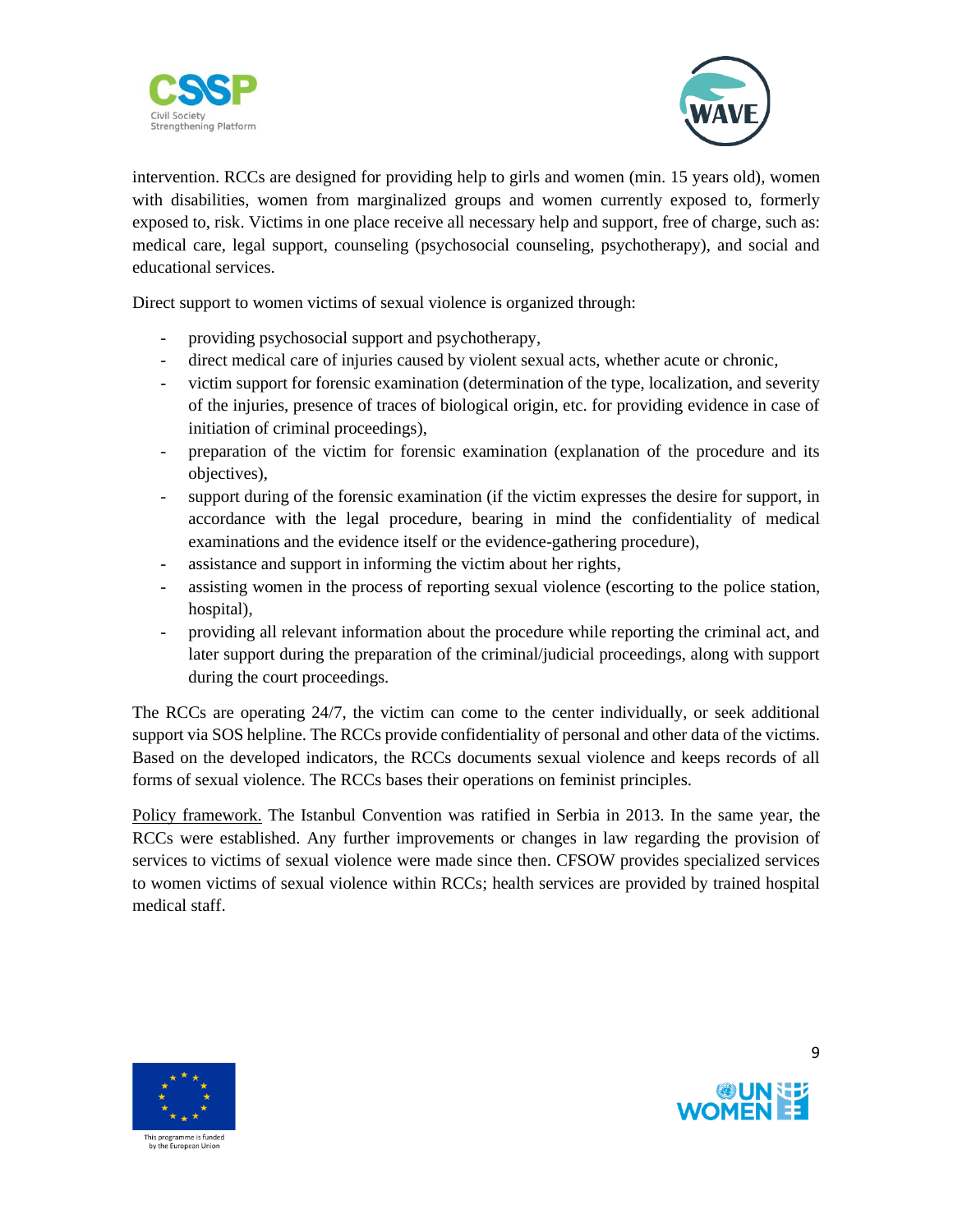



intervention. RCCs are designed for providing help to girls and women (min. 15 years old), women with disabilities, women from marginalized groups and women currently exposed to, formerly exposed to, risk. Victims in one place receive all necessary help and support, free of charge, such as: medical care, legal support, counseling (psychosocial counseling, psychotherapy), and social and educational services.

Direct support to women victims of sexual violence is organized through:

- providing psychosocial support and psychotherapy,
- direct medical care of injuries caused by violent sexual acts, whether acute or chronic,
- victim support for forensic examination (determination of the type, localization, and severity of the injuries, presence of traces of biological origin, etc. for providing evidence in case of initiation of criminal proceedings),
- preparation of the victim for forensic examination (explanation of the procedure and its objectives),
- support during of the forensic examination (if the victim expresses the desire for support, in accordance with the legal procedure, bearing in mind the confidentiality of medical examinations and the evidence itself or the evidence-gathering procedure),
- assistance and support in informing the victim about her rights,
- assisting women in the process of reporting sexual violence (escorting to the police station, hospital),
- providing all relevant information about the procedure while reporting the criminal act, and later support during the preparation of the criminal/judicial proceedings, along with support during the court proceedings.

The RCCs are operating 24/7, the victim can come to the center individually, or seek additional support via SOS helpline. The RCCs provide confidentiality of personal and other data of the victims. Based on the developed indicators, the RCCs documents sexual violence and keeps records of all forms of sexual violence. The RCCs bases their operations on feminist principles.

Policy framework. The Istanbul Convention was ratified in Serbia in 2013. In the same year, the RCCs were established. Any further improvements or changes in law regarding the provision of services to victims of sexual violence were made since then. CFSOW provides specialized services to women victims of sexual violence within RCCs; health services are provided by trained hospital medical staff.



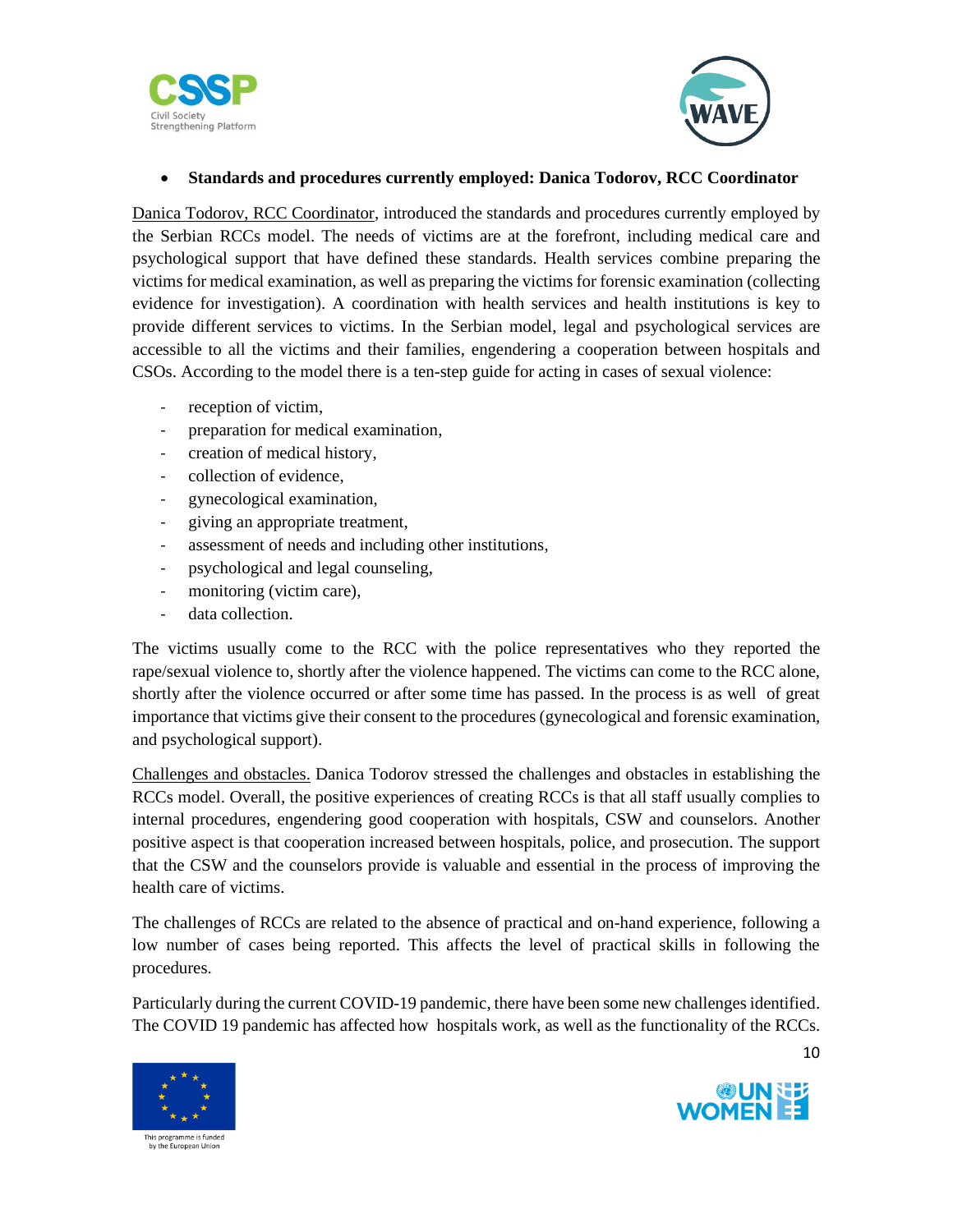



### • **Standards and procedures currently employed: Danica Todorov, RCC Coordinator**

Danica Todorov, RCC Coordinator, introduced the standards and procedures currently employed by the Serbian RCCs model. The needs of victims are at the forefront, including medical care and psychological support that have defined these standards. Health services combine preparing the victims for medical examination, as well as preparing the victims for forensic examination (collecting evidence for investigation). A coordination with health services and health institutions is key to provide different services to victims. In the Serbian model, legal and psychological services are accessible to all the victims and their families, engendering a cooperation between hospitals and CSOs. According to the model there is a ten-step guide for acting in cases of sexual violence:

- reception of victim,
- preparation for medical examination,
- creation of medical history,
- collection of evidence,
- gynecological examination,
- giving an appropriate treatment,
- assessment of needs and including other institutions,
- psychological and legal counseling,
- monitoring (victim care),
- data collection.

The victims usually come to the RCC with the police representatives who they reported the rape/sexual violence to, shortly after the violence happened. The victims can come to the RCC alone, shortly after the violence occurred or after some time has passed. In the process is as well of great importance that victims give their consent to the procedures (gynecological and forensic examination, and psychological support).

Challenges and obstacles. Danica Todorov stressed the challenges and obstacles in establishing the RCCs model. Overall, the positive experiences of creating RCCs is that all staff usually complies to internal procedures, engendering good cooperation with hospitals, CSW and counselors. Another positive aspect is that cooperation increased between hospitals, police, and prosecution. The support that the CSW and the counselors provide is valuable and essential in the process of improving the health care of victims.

The challenges of RCCs are related to the absence of practical and on-hand experience, following a low number of cases being reported. This affects the level of practical skills in following the procedures.

Particularly during the current COVID-19 pandemic, there have been some new challenges identified. The COVID 19 pandemic has affected how hospitals work, as well as the functionality of the RCCs.



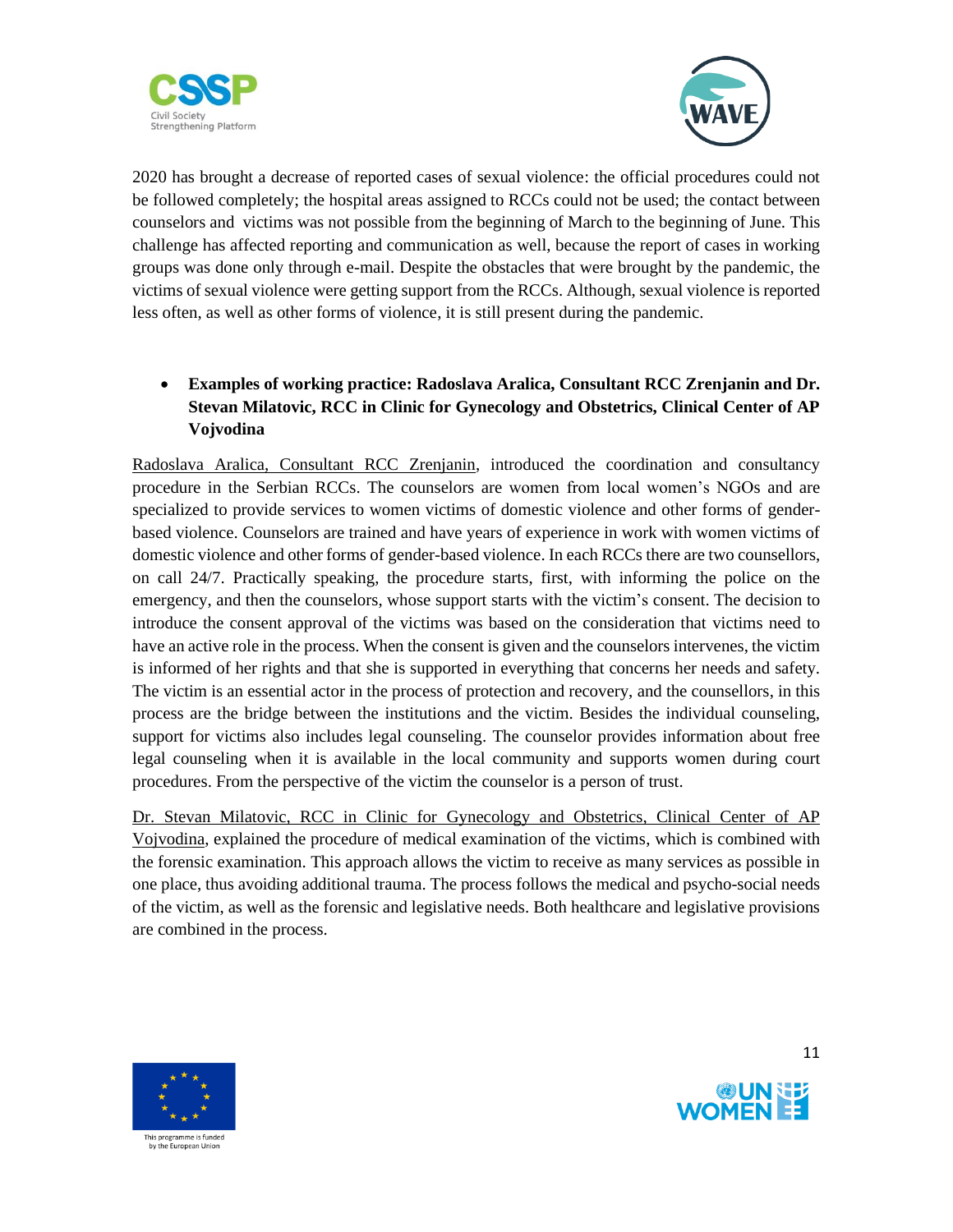



2020 has brought a decrease of reported cases of sexual violence: the official procedures could not be followed completely; the hospital areas assigned to RCCs could not be used; the contact between counselors and victims was not possible from the beginning of March to the beginning of June. This challenge has affected reporting and communication as well, because the report of cases in working groups was done only through e-mail. Despite the obstacles that were brought by the pandemic, the victims of sexual violence were getting support from the RCCs. Although, sexual violence is reported less often, as well as other forms of violence, it is still present during the pandemic.

## • **Examples of working practice: Radoslava Aralica, Consultant RCC Zrenjanin and Dr. Stevan Milatovic, RCC in Clinic for Gynecology and Obstetrics, Clinical Center of AP Vojvodina**

Radoslava Aralica, Consultant RCC Zrenjanin, introduced the coordination and consultancy procedure in the Serbian RCCs. The counselors are women from local women's NGOs and are specialized to provide services to women victims of domestic violence and other forms of genderbased violence. Counselors are trained and have years of experience in work with women victims of domestic violence and other forms of gender-based violence. In each RCCs there are two counsellors, on call 24/7. Practically speaking, the procedure starts, first, with informing the police on the emergency, and then the counselors, whose support starts with the victim's consent. The decision to introduce the consent approval of the victims was based on the consideration that victims need to have an active role in the process. When the consent is given and the counselors intervenes, the victim is informed of her rights and that she is supported in everything that concerns her needs and safety. The victim is an essential actor in the process of protection and recovery, and the counsellors, in this process are the bridge between the institutions and the victim. Besides the individual counseling, support for victims also includes legal counseling. The counselor provides information about free legal counseling when it is available in the local community and supports women during court procedures. From the perspective of the victim the counselor is a person of trust.

Dr. Stevan Milatovic, RCC in Clinic for Gynecology and Obstetrics, Clinical Center of AP Vojvodina, explained the procedure of medical examination of the victims, which is combined with the forensic examination. This approach allows the victim to receive as many services as possible in one place, thus avoiding additional trauma. The process follows the medical and psycho-social needs of the victim, as well as the forensic and legislative needs. Both healthcare and legislative provisions are combined in the process.



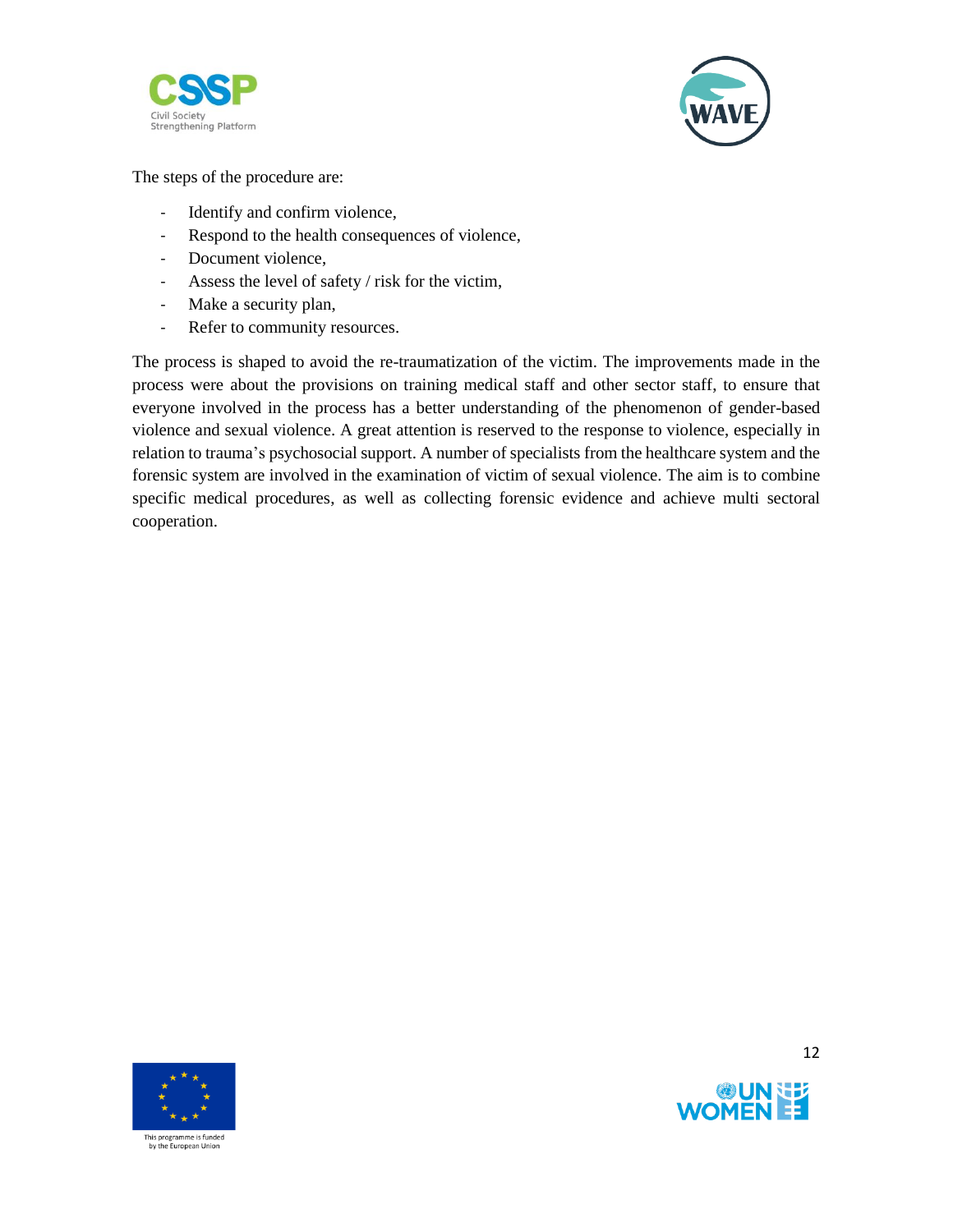



The steps of the procedure are:

- Identify and confirm violence,
- Respond to the health consequences of violence,
- Document violence,
- Assess the level of safety / risk for the victim,
- Make a security plan,
- Refer to community resources.

The process is shaped to avoid the re-traumatization of the victim. The improvements made in the process were about the provisions on training medical staff and other sector staff, to ensure that everyone involved in the process has a better understanding of the phenomenon of gender-based violence and sexual violence. A great attention is reserved to the response to violence, especially in relation to trauma's psychosocial support. A number of specialists from the healthcare system and the forensic system are involved in the examination of victim of sexual violence. The aim is to combine specific medical procedures, as well as collecting forensic evidence and achieve multi sectoral cooperation.





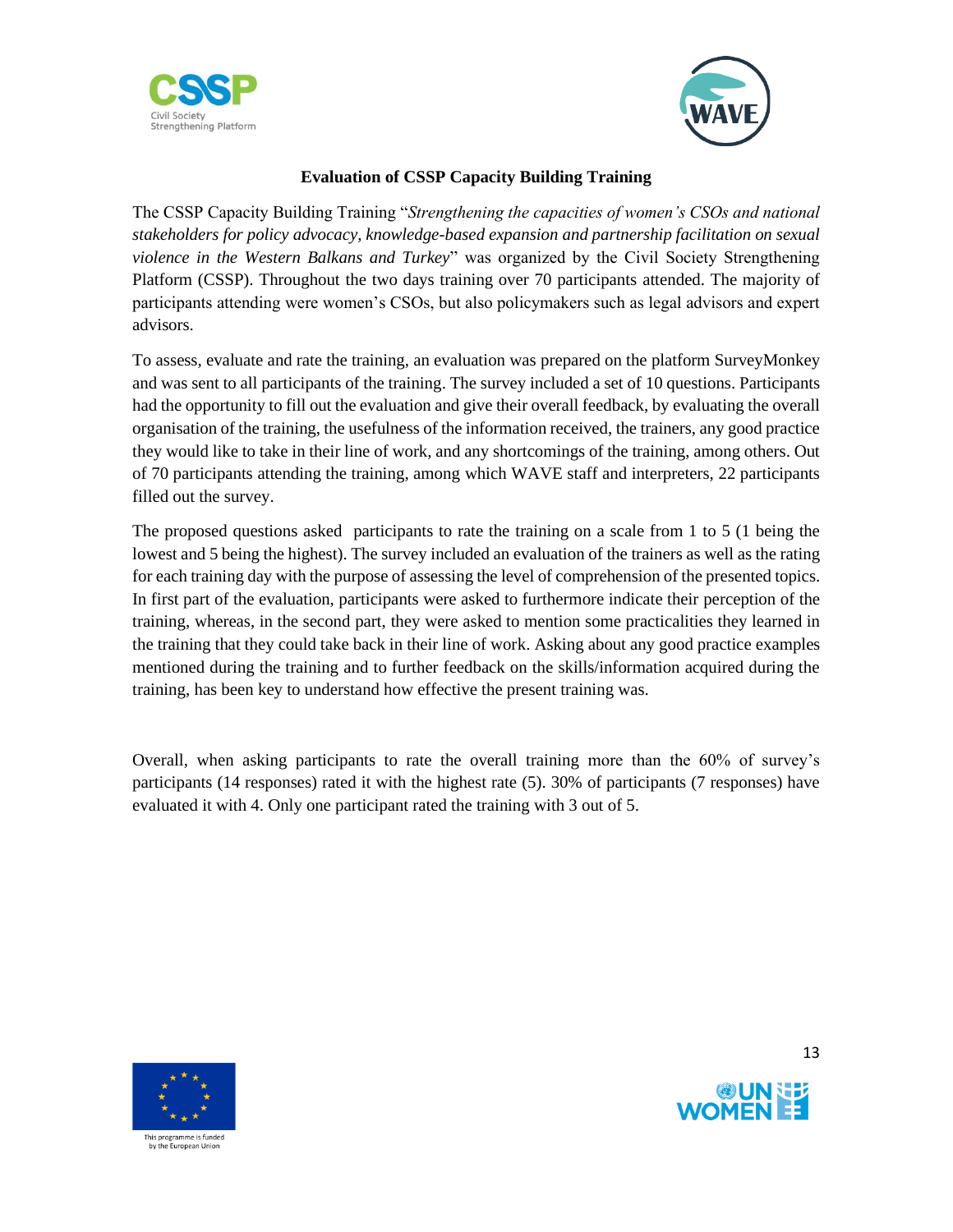



### **Evaluation of CSSP Capacity Building Training**

The CSSP Capacity Building Training "*Strengthening the capacities of women's CSOs and national stakeholders for policy advocacy, knowledge-based expansion and partnership facilitation on sexual violence in the Western Balkans and Turkey*" was organized by the Civil Society Strengthening Platform (CSSP). Throughout the two days training over 70 participants attended. The majority of participants attending were women's CSOs, but also policymakers such as legal advisors and expert advisors.

To assess, evaluate and rate the training, an evaluation was prepared on the platform SurveyMonkey and was sent to all participants of the training. The survey included a set of 10 questions. Participants had the opportunity to fill out the evaluation and give their overall feedback, by evaluating the overall organisation of the training, the usefulness of the information received, the trainers, any good practice they would like to take in their line of work, and any shortcomings of the training, among others. Out of 70 participants attending the training, among which WAVE staff and interpreters, 22 participants filled out the survey.

The proposed questions asked participants to rate the training on a scale from 1 to 5 (1 being the lowest and 5 being the highest). The survey included an evaluation of the trainers as well as the rating for each training day with the purpose of assessing the level of comprehension of the presented topics. In first part of the evaluation, participants were asked to furthermore indicate their perception of the training, whereas, in the second part, they were asked to mention some practicalities they learned in the training that they could take back in their line of work. Asking about any good practice examples mentioned during the training and to further feedback on the skills/information acquired during the training, has been key to understand how effective the present training was.

Overall, when asking participants to rate the overall training more than the 60% of survey's participants (14 responses) rated it with the highest rate (5). 30% of participants (7 responses) have evaluated it with 4. Only one participant rated the training with 3 out of 5.



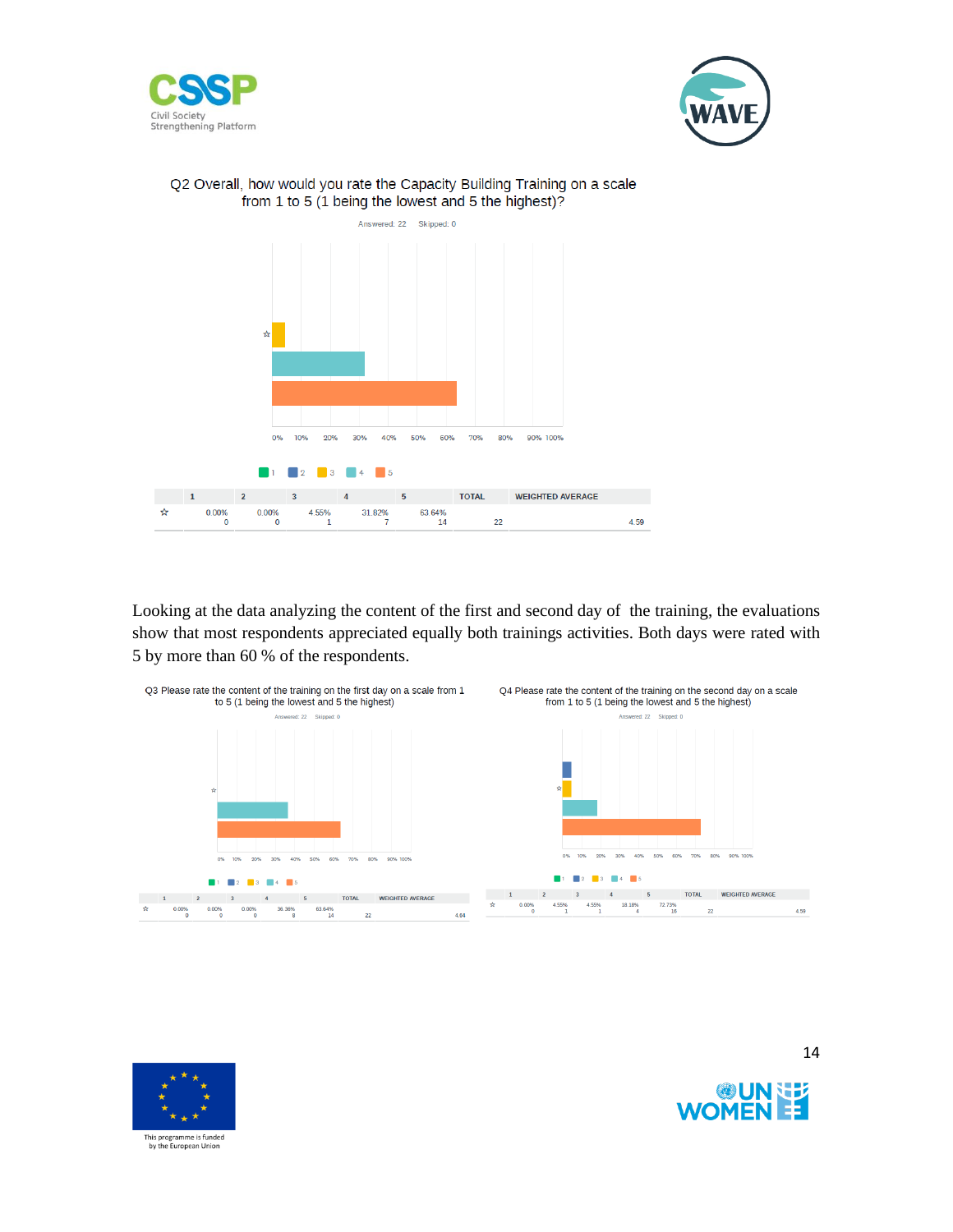





#### Q2 Overall, how would you rate the Capacity Building Training on a scale from 1 to 5 (1 being the lowest and 5 the highest)?

Looking at the data analyzing the content of the first and second day of the training, the evaluations show that most respondents appreciated equally both trainings activities. Both days were rated with 5 by more than 60 % of the respondents.





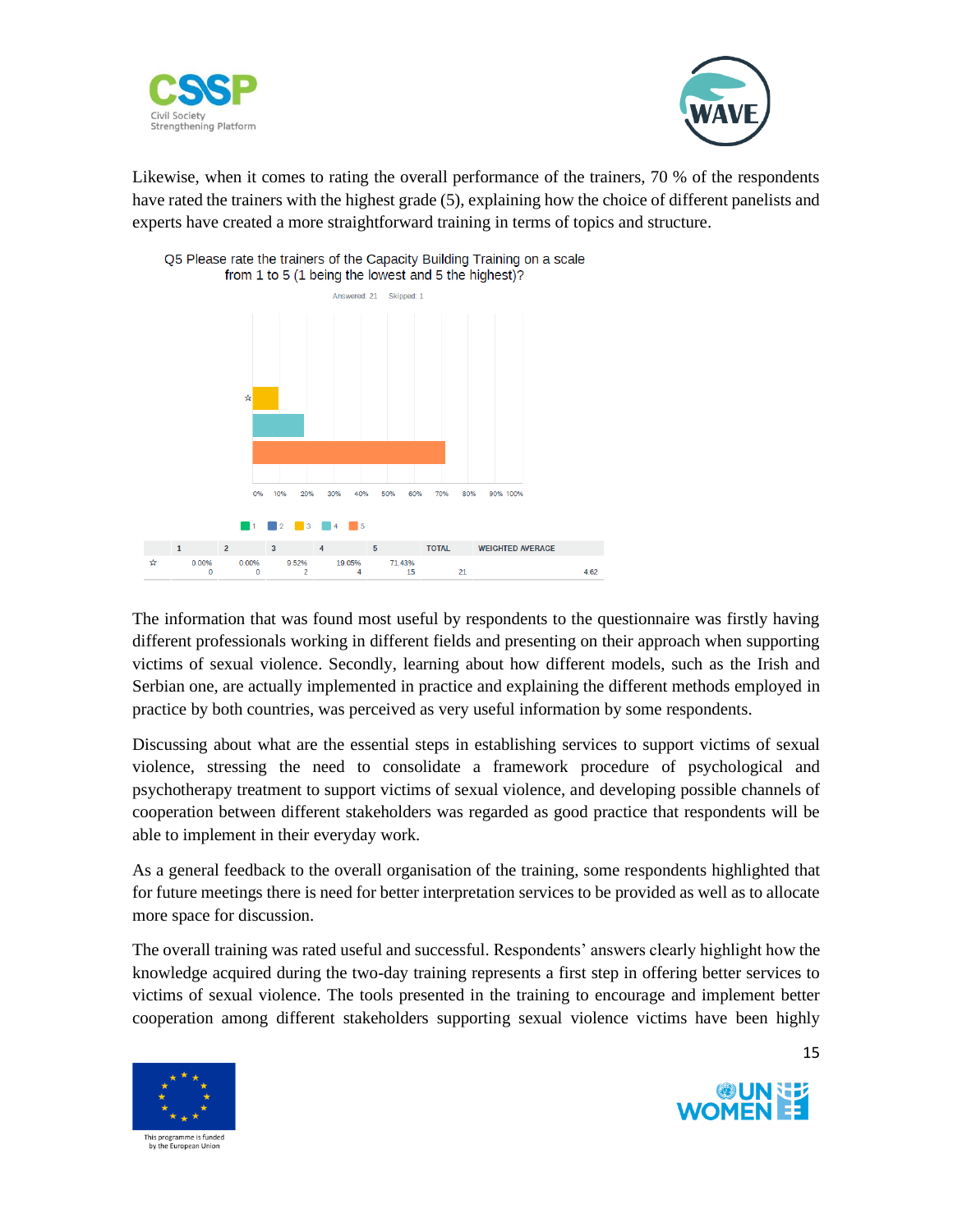



Likewise, when it comes to rating the overall performance of the trainers, 70 % of the respondents have rated the trainers with the highest grade (5), explaining how the choice of different panelists and experts have created a more straightforward training in terms of topics and structure.



Q5 Please rate the trainers of the Capacity Building Training on a scale from 1 to 5 (1 being the lowest and 5 the highest)?

The information that was found most useful by respondents to the questionnaire was firstly having different professionals working in different fields and presenting on their approach when supporting victims of sexual violence. Secondly, learning about how different models, such as the Irish and Serbian one, are actually implemented in practice and explaining the different methods employed in practice by both countries, was perceived as very useful information by some respondents.

Discussing about what are the essential steps in establishing services to support victims of sexual violence, stressing the need to consolidate a framework procedure of psychological and psychotherapy treatment to support victims of sexual violence, and developing possible channels of cooperation between different stakeholders was regarded as good practice that respondents will be able to implement in their everyday work.

As a general feedback to the overall organisation of the training, some respondents highlighted that for future meetings there is need for better interpretation services to be provided as well as to allocate more space for discussion.

The overall training was rated useful and successful. Respondents' answers clearly highlight how the knowledge acquired during the two-day training represents a first step in offering better services to victims of sexual violence. The tools presented in the training to encourage and implement better cooperation among different stakeholders supporting sexual violence victims have been highly